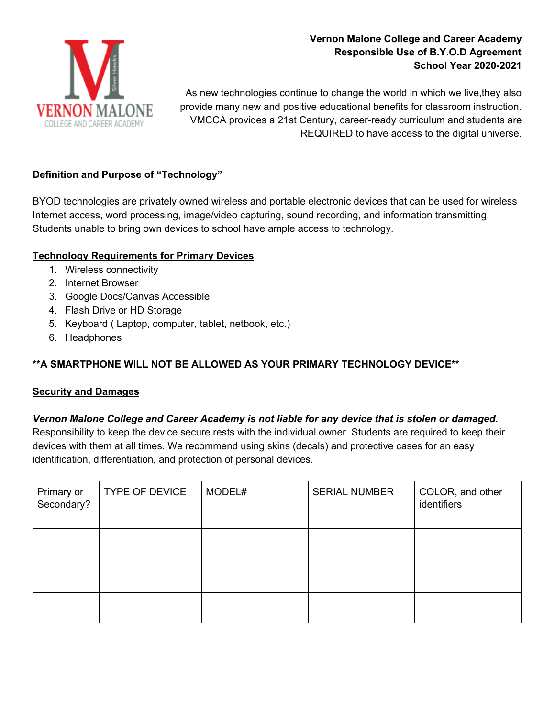

# **Vernon Malone College and Career Academy Responsible Use of B.Y.O.D Agreement School Year 2020-2021**

As new technologies continue to change the world in which we live,they also provide many new and positive educational benefits for classroom instruction. VMCCA provides a 21st Century, career-ready curriculum and students are REQUIRED to have access to the digital universe.

### **Definition and Purpose of "Technology"**

BYOD technologies are privately owned wireless and portable electronic devices that can be used for wireless Internet access, word processing, image/video capturing, sound recording, and information transmitting. Students unable to bring own devices to school have ample access to technology.

### **Technology Requirements for Primary Devices**

- 1. Wireless connectivity
- 2. Internet Browser
- 3. Google Docs/Canvas Accessible
- 4. Flash Drive or HD Storage
- 5. Keyboard ( Laptop, computer, tablet, netbook, etc.)
- 6. Headphones

# **\*\*A SMARTPHONE WILL NOT BE ALLOWED AS YOUR PRIMARY TECHNOLOGY DEVICE\*\***

### **Security and Damages**

### *Vernon Malone College and Career Academy is not liable for any device that is stolen or damaged.*

Responsibility to keep the device secure rests with the individual owner. Students are required to keep their devices with them at all times. We recommend using skins (decals) and protective cases for an easy identification, differentiation, and protection of personal devices.

| Primary or<br>Secondary? | <b>TYPE OF DEVICE</b> | MODEL# | <b>SERIAL NUMBER</b> | COLOR, and other<br>identifiers |
|--------------------------|-----------------------|--------|----------------------|---------------------------------|
|                          |                       |        |                      |                                 |
|                          |                       |        |                      |                                 |
|                          |                       |        |                      |                                 |